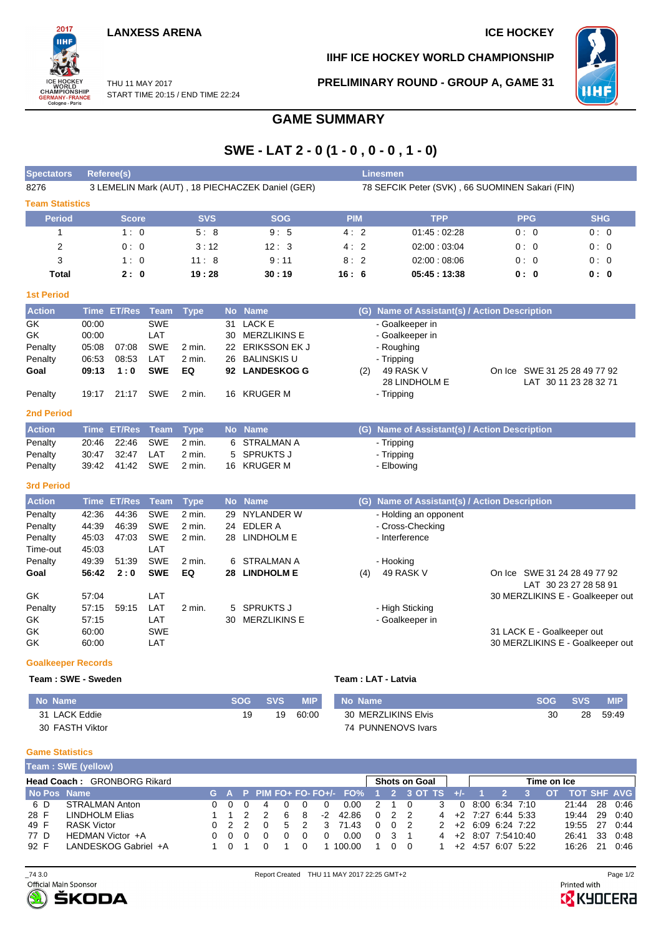# **LANXESS ARENA ICE HOCKEY**

2017 WORLD<br>CHAMPIONSHIP<br>GERMANY-FRANCE<br>Cologne-Paris

**IIHF ICE HOCKEY WORLD CHAMPIONSHIP**

**PRELIMINARY ROUND - GROUP A, GAME 31**



## THU 11 MAY 2017 START TIME 20:15 / END TIME 22:24

# **GAME SUMMARY**

# **SWE - LAT 2 - 0 (1 - 0 , 0 - 0 , 1 - 0)**

| <b>Spectators</b>         |       | Referee(s)         |             |             |           |                                                  |            |     | Linesmen                                        |            |                                                       |
|---------------------------|-------|--------------------|-------------|-------------|-----------|--------------------------------------------------|------------|-----|-------------------------------------------------|------------|-------------------------------------------------------|
| 8276                      |       |                    |             |             |           | 3 LEMELIN Mark (AUT), 18 PIECHACZEK Daniel (GER) |            |     | 78 SEFCIK Peter (SVK), 66 SUOMINEN Sakari (FIN) |            |                                                       |
| <b>Team Statistics</b>    |       |                    |             |             |           |                                                  |            |     |                                                 |            |                                                       |
| <b>Period</b>             |       | <b>Score</b>       |             | <b>SVS</b>  |           | <b>SOG</b>                                       | <b>PIM</b> |     | <b>TPP</b>                                      | <b>PPG</b> | <b>SHG</b>                                            |
| 1                         |       | 1:0                |             | 5:8         |           | 9:5                                              | 4:2        |     | 01.45:02.28                                     | 0:0        | 0:0                                                   |
| 2                         |       | 0:0                |             | 3:12        |           | 12:3                                             | 4:2        |     | 02:00:03:04                                     | 0:0        | 0:0                                                   |
| 3                         |       | 1:0                |             | 11:8        |           | 9:11                                             | 8:2        |     | 02:00:08:06                                     | 0:0        | 0:0                                                   |
| Total                     |       | 2:0                |             | 19:28       |           | 30:19                                            | 16:6       |     | 05:45:13:38                                     | 0:0        | 0:0                                                   |
| <b>1st Period</b>         |       |                    |             |             |           |                                                  |            |     |                                                 |            |                                                       |
| <b>Action</b>             |       | Time ET/Res        | Team        | <b>Type</b> | <b>No</b> | <b>Name</b>                                      |            |     | (G) Name of Assistant(s) / Action Description   |            |                                                       |
| GK                        | 00:00 |                    | <b>SWE</b>  |             | 31        | <b>LACK E</b>                                    |            |     | - Goalkeeper in                                 |            |                                                       |
| GK                        | 00:00 |                    | LAT         |             | 30        | <b>MERZLIKINS E</b>                              |            |     | - Goalkeeper in                                 |            |                                                       |
| Penalty                   | 05:08 | 07:08              | <b>SWE</b>  | 2 min.      | 22        | <b>ERIKSSON EK J</b>                             |            |     | - Roughing                                      |            |                                                       |
| Penalty                   | 06:53 | 08:53              | LAT         | 2 min.      | 26        | <b>BALINSKIS U</b>                               |            |     | - Tripping                                      |            |                                                       |
| Goal                      | 09:13 | 1:0                | <b>SWE</b>  | EQ          |           | 92 LANDESKOG G                                   |            | (2) | 49 RASK V                                       |            | On Ice SWE 31 25 28 49 77 92                          |
| Penalty                   | 19:17 | 21:17              | <b>SWE</b>  | 2 min.      |           | 16 KRUGER M                                      |            |     | 28 LINDHOLM E<br>- Tripping                     |            | LAT 30 11 23 28 32 71                                 |
| <b>2nd Period</b>         |       |                    |             |             |           |                                                  |            |     |                                                 |            |                                                       |
| <b>Action</b>             |       | Time ET/Res        | <b>Team</b> | <b>Type</b> |           | No Name                                          |            |     | (G) Name of Assistant(s) / Action Description   |            |                                                       |
| Penalty                   | 20:46 | 22:46              | <b>SWE</b>  | 2 min.      | 6         | STRALMAN A                                       |            |     | - Tripping                                      |            |                                                       |
| Penalty                   | 30:47 | 32:47              | LAT         | 2 min.      | 5         | <b>SPRUKTS J</b>                                 |            |     | - Tripping                                      |            |                                                       |
| Penalty                   | 39:42 | 41:42              | <b>SWE</b>  | 2 min.      | 16        | <b>KRUGER M</b>                                  |            |     | - Elbowing                                      |            |                                                       |
| <b>3rd Period</b>         |       |                    |             |             |           |                                                  |            |     |                                                 |            |                                                       |
| <b>Action</b>             |       | <b>Time ET/Res</b> | <b>Team</b> | <b>Type</b> | <b>No</b> | <b>Name</b>                                      |            |     | (G) Name of Assistant(s) / Action Description   |            |                                                       |
| Penalty                   | 42:36 | 44:36              | <b>SWE</b>  | 2 min.      | 29        | <b>NYLANDER W</b>                                |            |     | - Holding an opponent                           |            |                                                       |
| Penalty                   | 44:39 | 46:39              | <b>SWE</b>  | 2 min.      | 24        | <b>EDLER A</b>                                   |            |     | - Cross-Checking                                |            |                                                       |
| Penalty                   | 45:03 | 47:03              | <b>SWE</b>  | 2 min.      | 28        | <b>LINDHOLM E</b>                                |            |     | - Interference                                  |            |                                                       |
| Time-out                  | 45:03 |                    | LAT         |             |           |                                                  |            |     |                                                 |            |                                                       |
| Penalty                   | 49:39 | 51:39              | <b>SWE</b>  | 2 min.      | 6         | <b>STRALMAN A</b>                                |            |     | - Hooking                                       |            |                                                       |
| Goal                      | 56:42 | 2:0                | <b>SWE</b>  | EQ          |           | 28 LINDHOLM E                                    |            | (4) | 49 RASK V                                       |            | On Ice SWE 31 24 28 49 77 92<br>LAT 30 23 27 28 58 91 |
| GK                        | 57:04 |                    | LAT         |             |           |                                                  |            |     |                                                 |            | 30 MERZLIKINS E - Goalkeeper out                      |
| Penalty                   | 57:15 | 59:15              | LAT         | 2 min.      | 5         | <b>SPRUKTS J</b>                                 |            |     | - High Sticking                                 |            |                                                       |
| GK                        | 57:15 |                    | LAT         |             | 30        | <b>MERZLIKINS E</b>                              |            |     | - Goalkeeper in                                 |            |                                                       |
| GK                        | 60:00 |                    | <b>SWE</b>  |             |           |                                                  |            |     |                                                 |            | 31 LACK E - Goalkeeper out                            |
| GK                        | 60:00 |                    | LAT         |             |           |                                                  |            |     |                                                 |            | 30 MERZLIKINS E - Goalkeeper out                      |
| <b>Goalkeeper Records</b> |       |                    |             |             |           |                                                  |            |     |                                                 |            |                                                       |

#### **Team : SWE - Sweden Team : LAT - Latvia**

| No Name         | <b>SOG</b> | SVS | <b>MIP</b> | No Name             | <b>SOG</b> | <b>SVS</b> | <b>MIP</b> |
|-----------------|------------|-----|------------|---------------------|------------|------------|------------|
| 31 LACK Eddie   | 19         | 19  | 60:00      | 30 MERZLIKINS Elvis | 30         | 28         | 59:49      |
| 30 FASTH Viktor |            |     |            | 74 PUNNENOVS Ivars  |            |            |            |

### **Game Statistics**

|             | Team: SWE (yellow)          |                     |          |    |   |      |                                         |               |            |                      |   |          |                              |                |             |                    |    |         |
|-------------|-----------------------------|---------------------|----------|----|---|------|-----------------------------------------|---------------|------------|----------------------|---|----------|------------------------------|----------------|-------------|--------------------|----|---------|
|             | Head Coach: GRONBORG Rikard |                     |          |    |   |      |                                         |               |            | <b>Shots on Goal</b> |   |          |                              |                | Time on Ice |                    |    |         |
| No Pos Name |                             |                     |          |    |   |      | G A P PIM FO+ FO- FO+/- FO% 1 2 3 OT TS |               |            |                      |   | $+/-$    |                              |                | OT.         | <b>TOT SHF AVG</b> |    |         |
| 6 D         | STRALMAN Anton              | $0 \quad 0 \quad 0$ |          |    |   |      | 0.00                                    | $\mathcal{P}$ |            |                      | 3 | $\Omega$ |                              | 8:00 6:34 7:10 |             | 21:44              | 28 | 0:46    |
| 28 F        | LINDHOLM Elias              |                     |          | 6  | 8 | $-2$ | 42.86                                   | $\Omega$      | 2 2        |                      |   |          | $4 +2$ 7:27 6:44 5:33        |                |             | 19:44              |    | 29 0:40 |
| 49 F        | RASK Victor                 |                     |          | 5. |   |      | 71.43                                   | $\Omega$      | $0\quad 2$ |                      |   |          | $2 + 2 + 6.09 + 6.24 + 7.22$ |                |             | 19:55              | 27 | 0.44    |
| 77 D        | HEDMAN Victor +A            |                     | $\Omega$ |    |   |      | 0.00                                    | $\Omega$      |            |                      |   |          | $4 +2 8:07 7:5410:40$        |                |             | 26:41              | 33 | 0:48    |
| 92 F        | LANDESKOG Gabriel +A        |                     |          |    |   |      | 100.00                                  |               | 0 O        |                      |   |          | $+2$ 4.57 6.07 5.22          |                |             | 16:26              | 21 | 0:46    |